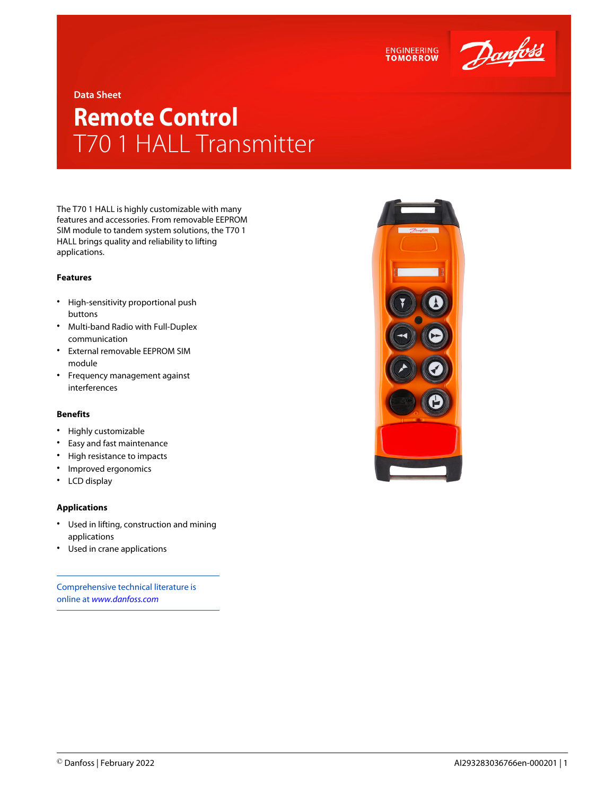



**Data Sheet**

## **Remote Control** T70 1 HALL Transmitter

The T70 1 HALL is highly customizable with many features and accessories. From removable EEPROM SIM module to tandem system solutions, the T70 1 HALL brings quality and reliability to lifting applications.

## **Features**

- High-sensitivity proportional push buttons
- Multi-band Radio with Full-Duplex communication
- External removable EEPROM SIM module
- Frequency management against interferences

## **Benefits**

- Highly customizable
- Easy and fast maintenance
- High resistance to impacts
- Improved ergonomics
- LCD display

## **Applications**

- Used in lifting, construction and mining applications
- Used in crane applications

Comprehensive technical literature is online at *[www.danfoss.com](https://www.danfoss.com/en/search/?filter=type%3Adocumentation%2Csegment%3Adps)*